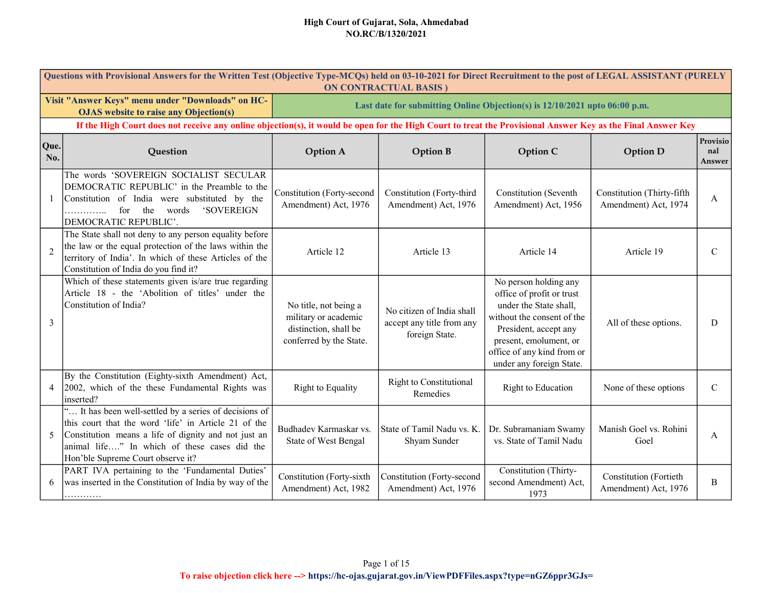|                | Questions with Provisional Answers for the Written Test (Objective Type-MCQs) held on 03-10-2021 for Direct Recruitment to the post of LEGAL ASSISTANT (PURELY<br><b>ON CONTRACTUAL BASIS)</b>                                                              |                                                                                                   |                                                                          |                                                                                                                                                                                                                         |                                                       |                           |  |  |  |
|----------------|-------------------------------------------------------------------------------------------------------------------------------------------------------------------------------------------------------------------------------------------------------------|---------------------------------------------------------------------------------------------------|--------------------------------------------------------------------------|-------------------------------------------------------------------------------------------------------------------------------------------------------------------------------------------------------------------------|-------------------------------------------------------|---------------------------|--|--|--|
|                | Visit "Answer Keys" menu under "Downloads" on HC-<br><b>OJAS</b> website to raise any Objection(s)                                                                                                                                                          | Last date for submitting Online Objection(s) is 12/10/2021 upto 06:00 p.m.                        |                                                                          |                                                                                                                                                                                                                         |                                                       |                           |  |  |  |
|                | If the High Court does not receive any online objection(s), it would be open for the High Court to treat the Provisional Answer Key as the Final Answer Key                                                                                                 |                                                                                                   |                                                                          |                                                                                                                                                                                                                         |                                                       |                           |  |  |  |
| Que.<br>No.    | Question                                                                                                                                                                                                                                                    | <b>Option A</b>                                                                                   | <b>Option B</b>                                                          | Option C                                                                                                                                                                                                                | <b>Option D</b>                                       | Provisio<br>nal<br>Answer |  |  |  |
| 1              | The words 'SOVEREIGN SOCIALIST SECULAR<br>DEMOCRATIC REPUBLIC' in the Preamble to the<br>Constitution of India were substituted by the<br><b>'SOVEREIGN</b><br>$\dots$ for the words<br>DEMOCRATIC REPUBLIC'.                                               | Constitution (Forty-second<br>Amendment) Act, 1976                                                | Constitution (Forty-third<br>Amendment) Act, 1976                        | <b>Constitution</b> (Seventh<br>Amendment) Act, 1956                                                                                                                                                                    | Constitution (Thirty-fifth<br>Amendment) Act, 1974    | A                         |  |  |  |
| $\overline{2}$ | The State shall not deny to any person equality before<br>the law or the equal protection of the laws within the<br>territory of India'. In which of these Articles of the<br>Constitution of India do you find it?                                         | Article 12                                                                                        | Article 13                                                               | Article 14                                                                                                                                                                                                              | Article 19                                            | $\mathcal{C}$             |  |  |  |
| 3              | Which of these statements given is/are true regarding<br>Article 18 - the 'Abolition of titles' under the<br>Constitution of India?                                                                                                                         | No title, not being a<br>military or academic<br>distinction, shall be<br>conferred by the State. | No citizen of India shall<br>accept any title from any<br>foreign State. | No person holding any<br>office of profit or trust<br>under the State shall,<br>without the consent of the<br>President, accept any<br>present, emolument, or<br>office of any kind from or<br>under any foreign State. | All of these options.                                 | D                         |  |  |  |
| $\overline{4}$ | By the Constitution (Eighty-sixth Amendment) Act,<br>2002, which of the these Fundamental Rights was<br>inserted?                                                                                                                                           | Right to Equality                                                                                 | <b>Right to Constitutional</b><br>Remedies                               | Right to Education                                                                                                                                                                                                      | None of these options                                 | $\mathcal{C}$             |  |  |  |
| 5              | " It has been well-settled by a series of decisions of<br>this court that the word 'life' in Article 21 of the<br>Constitution means a life of dignity and not just an<br>animal life" In which of these cases did the<br>Hon'ble Supreme Court observe it? | Budhadev Karmaskar vs.<br>State of West Bengal                                                    | State of Tamil Nadu vs. K.<br>Shyam Sunder                               | Dr. Subramaniam Swamy<br>vs. State of Tamil Nadu                                                                                                                                                                        | Manish Goel vs. Rohini<br>Goel                        | A                         |  |  |  |
| 6              | PART IVA pertaining to the 'Fundamental Duties'<br>was inserted in the Constitution of India by way of the<br>. <b>.</b>                                                                                                                                    | Constitution (Forty-sixth<br>Amendment) Act, 1982                                                 | Constitution (Forty-second<br>Amendment) Act, 1976                       | Constitution (Thirty-<br>second Amendment) Act,<br>1973                                                                                                                                                                 | <b>Constitution</b> (Fortieth<br>Amendment) Act, 1976 | B                         |  |  |  |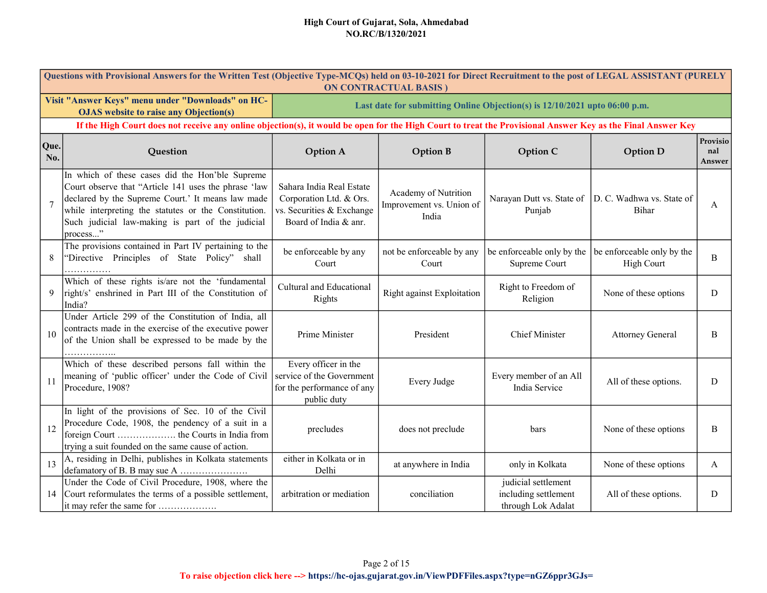|                | Questions with Provisional Answers for the Written Test (Objective Type-MCQs) held on 03-10-2021 for Direct Recruitment to the post of LEGAL ASSISTANT (PURELY<br><b>ON CONTRACTUAL BASIS)</b>                                                                                       |                                                                                                           |                                                                            |                                                                   |                                                 |                           |  |  |  |  |
|----------------|--------------------------------------------------------------------------------------------------------------------------------------------------------------------------------------------------------------------------------------------------------------------------------------|-----------------------------------------------------------------------------------------------------------|----------------------------------------------------------------------------|-------------------------------------------------------------------|-------------------------------------------------|---------------------------|--|--|--|--|
|                | Visit "Answer Keys" menu under "Downloads" on HC-<br><b>OJAS</b> website to raise any Objection(s)                                                                                                                                                                                   |                                                                                                           | Last date for submitting Online Objection(s) is 12/10/2021 upto 06:00 p.m. |                                                                   |                                                 |                           |  |  |  |  |
|                | If the High Court does not receive any online objection(s), it would be open for the High Court to treat the Provisional Answer Key as the Final Answer Key                                                                                                                          |                                                                                                           |                                                                            |                                                                   |                                                 |                           |  |  |  |  |
| Que.<br>No.    | Question                                                                                                                                                                                                                                                                             | <b>Option A</b>                                                                                           | <b>Option B</b>                                                            | <b>Option C</b>                                                   | <b>Option D</b>                                 | Provisio<br>nal<br>Answer |  |  |  |  |
| $\overline{7}$ | In which of these cases did the Hon'ble Supreme<br>Court observe that "Article 141 uses the phrase 'law<br>declared by the Supreme Court.' It means law made<br>while interpreting the statutes or the Constitution.<br>Such judicial law-making is part of the judicial<br>process" | Sahara India Real Estate<br>Corporation Ltd. & Ors.<br>vs. Securities & Exchange<br>Board of India & anr. | Academy of Nutrition<br>Improvement vs. Union of<br>India                  | Narayan Dutt vs. State of<br>Punjab                               | D. C. Wadhwa vs. State of<br><b>Bihar</b>       | A                         |  |  |  |  |
| 8              | The provisions contained in Part IV pertaining to the<br>"Directive Principles of State Policy" shall<br>.                                                                                                                                                                           | be enforceable by any<br>Court                                                                            | not be enforceable by any<br>Court                                         | be enforceable only by the<br>Supreme Court                       | be enforceable only by the<br><b>High Court</b> | B                         |  |  |  |  |
| 9              | Which of these rights is/are not the 'fundamental<br>right/s' enshrined in Part III of the Constitution of<br>India?                                                                                                                                                                 | Cultural and Educational<br>Rights                                                                        | Right against Exploitation                                                 | Right to Freedom of<br>Religion                                   | None of these options                           | D                         |  |  |  |  |
| 10             | Under Article 299 of the Constitution of India, all<br>contracts made in the exercise of the executive power<br>of the Union shall be expressed to be made by the<br>.                                                                                                               | Prime Minister                                                                                            | President                                                                  | <b>Chief Minister</b>                                             | <b>Attorney General</b>                         | B                         |  |  |  |  |
| 11             | Which of these described persons fall within the<br>meaning of 'public officer' under the Code of Civil<br>Procedure, 1908?                                                                                                                                                          | Every officer in the<br>service of the Government<br>for the performance of any<br>public duty            | Every Judge                                                                | Every member of an All<br>India Service                           | All of these options.                           | D                         |  |  |  |  |
| 12             | In light of the provisions of Sec. 10 of the Civil<br>Procedure Code, 1908, the pendency of a suit in a<br>trying a suit founded on the same cause of action.                                                                                                                        | precludes                                                                                                 | does not preclude                                                          | bars                                                              | None of these options                           | B                         |  |  |  |  |
| 13             | A, residing in Delhi, publishes in Kolkata statements                                                                                                                                                                                                                                | either in Kolkata or in<br>Delhi                                                                          | at anywhere in India                                                       | only in Kolkata                                                   | None of these options                           | A                         |  |  |  |  |
| 14             | Under the Code of Civil Procedure, 1908, where the<br>Court reformulates the terms of a possible settlement,<br>it may refer the same for                                                                                                                                            | arbitration or mediation                                                                                  | conciliation                                                               | judicial settlement<br>including settlement<br>through Lok Adalat | All of these options.                           | D                         |  |  |  |  |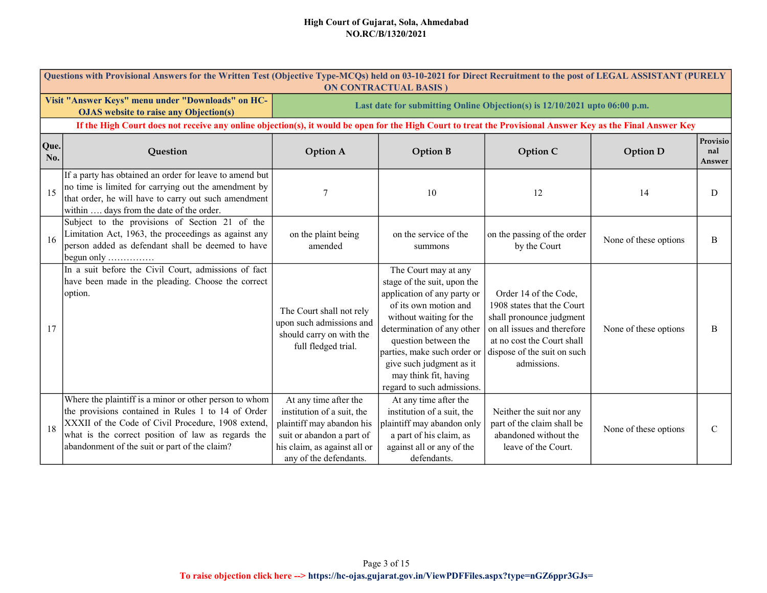|             | Questions with Provisional Answers for the Written Test (Objective Type-MCQs) held on 03-10-2021 for Direct Recruitment to the post of LEGAL ASSISTANT (PURELY<br><b>ON CONTRACTUAL BASIS)</b>                                                                            |                                                                                                                                                                         |                                                                                                                                                                                                                                                                                                                |                                                                                                                                                                                            |                       |                           |  |  |  |  |
|-------------|---------------------------------------------------------------------------------------------------------------------------------------------------------------------------------------------------------------------------------------------------------------------------|-------------------------------------------------------------------------------------------------------------------------------------------------------------------------|----------------------------------------------------------------------------------------------------------------------------------------------------------------------------------------------------------------------------------------------------------------------------------------------------------------|--------------------------------------------------------------------------------------------------------------------------------------------------------------------------------------------|-----------------------|---------------------------|--|--|--|--|
|             | Visit "Answer Keys" menu under "Downloads" on HC-<br><b>OJAS</b> website to raise any Objection(s)                                                                                                                                                                        |                                                                                                                                                                         | Last date for submitting Online Objection(s) is 12/10/2021 upto 06:00 p.m.                                                                                                                                                                                                                                     |                                                                                                                                                                                            |                       |                           |  |  |  |  |
|             | If the High Court does not receive any online objection(s), it would be open for the High Court to treat the Provisional Answer Key as the Final Answer Key                                                                                                               |                                                                                                                                                                         |                                                                                                                                                                                                                                                                                                                |                                                                                                                                                                                            |                       |                           |  |  |  |  |
| Que.<br>No. | Question                                                                                                                                                                                                                                                                  | <b>Option A</b>                                                                                                                                                         | <b>Option B</b>                                                                                                                                                                                                                                                                                                | Option C                                                                                                                                                                                   | <b>Option D</b>       | Provisio<br>nal<br>Answer |  |  |  |  |
| 15          | If a party has obtained an order for leave to amend but<br>no time is limited for carrying out the amendment by<br>that order, he will have to carry out such amendment<br>within  days from the date of the order.                                                       | 7                                                                                                                                                                       | 10                                                                                                                                                                                                                                                                                                             | 12                                                                                                                                                                                         | 14                    | D                         |  |  |  |  |
| 16          | Subject to the provisions of Section 21 of the<br>Limitation Act, 1963, the proceedings as against any<br>person added as defendant shall be deemed to have<br>begun only                                                                                                 | on the plaint being<br>amended                                                                                                                                          | on the service of the<br>summons                                                                                                                                                                                                                                                                               | on the passing of the order<br>by the Court                                                                                                                                                | None of these options | B                         |  |  |  |  |
| 17          | In a suit before the Civil Court, admissions of fact<br>have been made in the pleading. Choose the correct<br>option.                                                                                                                                                     | The Court shall not rely<br>upon such admissions and<br>should carry on with the<br>full fledged trial.                                                                 | The Court may at any<br>stage of the suit, upon the<br>application of any party or<br>of its own motion and<br>without waiting for the<br>determination of any other<br>question between the<br>parties, make such order or<br>give such judgment as it<br>may think fit, having<br>regard to such admissions. | Order 14 of the Code,<br>1908 states that the Court<br>shall pronounce judgment<br>on all issues and therefore<br>at no cost the Court shall<br>dispose of the suit on such<br>admissions. | None of these options | B                         |  |  |  |  |
| 18          | Where the plaintiff is a minor or other person to whom<br>the provisions contained in Rules 1 to 14 of Order<br>XXXII of the Code of Civil Procedure, 1908 extend,<br>what is the correct position of law as regards the<br>abandonment of the suit or part of the claim? | At any time after the<br>institution of a suit, the<br>plaintiff may abandon his<br>suit or abandon a part of<br>his claim, as against all or<br>any of the defendants. | At any time after the<br>institution of a suit, the<br>plaintiff may abandon only<br>a part of his claim, as<br>against all or any of the<br>defendants.                                                                                                                                                       | Neither the suit nor any<br>part of the claim shall be<br>abandoned without the<br>leave of the Court.                                                                                     | None of these options | $\mathcal{C}$             |  |  |  |  |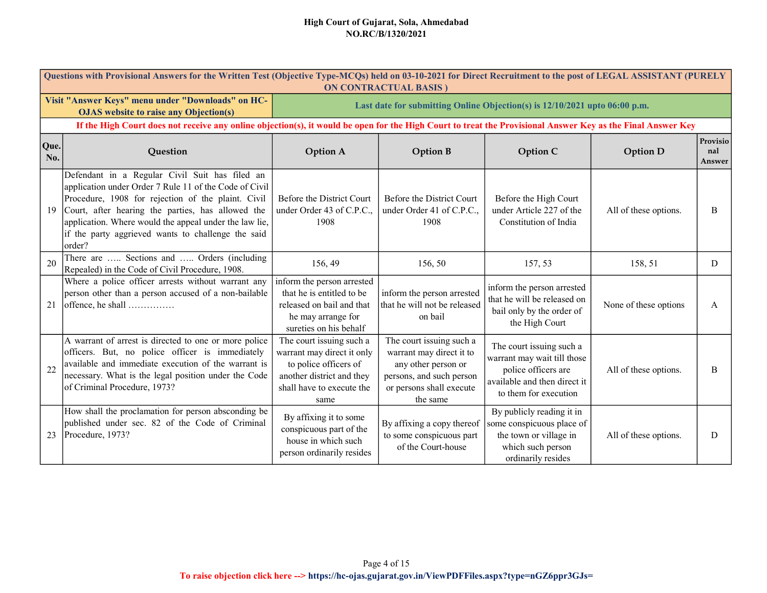|             | Questions with Provisional Answers for the Written Test (Objective Type-MCQs) held on 03-10-2021 for Direct Recruitment to the post of LEGAL ASSISTANT (PURELY<br><b>ON CONTRACTUAL BASIS)</b>                                                                                                                                                |                                                                                                                                                   |                                                                                                                                                 |                                                                                                                                         |                       |                           |  |  |  |  |
|-------------|-----------------------------------------------------------------------------------------------------------------------------------------------------------------------------------------------------------------------------------------------------------------------------------------------------------------------------------------------|---------------------------------------------------------------------------------------------------------------------------------------------------|-------------------------------------------------------------------------------------------------------------------------------------------------|-----------------------------------------------------------------------------------------------------------------------------------------|-----------------------|---------------------------|--|--|--|--|
|             | Visit "Answer Keys" menu under "Downloads" on HC-<br><b>OJAS</b> website to raise any Objection(s)                                                                                                                                                                                                                                            |                                                                                                                                                   | Last date for submitting Online Objection(s) is 12/10/2021 upto 06:00 p.m.                                                                      |                                                                                                                                         |                       |                           |  |  |  |  |
|             | If the High Court does not receive any online objection(s), it would be open for the High Court to treat the Provisional Answer Key as the Final Answer Key                                                                                                                                                                                   |                                                                                                                                                   |                                                                                                                                                 |                                                                                                                                         |                       |                           |  |  |  |  |
| Que.<br>No. | Question                                                                                                                                                                                                                                                                                                                                      | <b>Option A</b>                                                                                                                                   | <b>Option B</b>                                                                                                                                 | Option C                                                                                                                                | <b>Option D</b>       | Provisio<br>nal<br>Answer |  |  |  |  |
| 19          | Defendant in a Regular Civil Suit has filed an<br>application under Order 7 Rule 11 of the Code of Civil<br>Procedure, 1908 for rejection of the plaint. Civil<br>Court, after hearing the parties, has allowed the<br>application. Where would the appeal under the law lie,<br>if the party aggrieved wants to challenge the said<br>order? | Before the District Court<br>under Order 43 of C.P.C.,<br>1908                                                                                    | Before the District Court<br>under Order 41 of C.P.C.,<br>1908                                                                                  | Before the High Court<br>under Article 227 of the<br>Constitution of India                                                              | All of these options. | B                         |  |  |  |  |
| 20          | There are  Sections and  Orders (including<br>Repealed) in the Code of Civil Procedure, 1908.                                                                                                                                                                                                                                                 | 156, 49                                                                                                                                           | 156, 50                                                                                                                                         | 157, 53                                                                                                                                 | 158, 51               | D                         |  |  |  |  |
| 21          | Where a police officer arrests without warrant any<br>person other than a person accused of a non-bailable                                                                                                                                                                                                                                    | inform the person arrested<br>that he is entitled to be<br>released on bail and that<br>he may arrange for<br>sureties on his behalf              | inform the person arrested<br>that he will not be released<br>on bail                                                                           | inform the person arrested<br>that he will be released on<br>bail only by the order of<br>the High Court                                | None of these options | A                         |  |  |  |  |
| 22          | A warrant of arrest is directed to one or more police<br>officers. But, no police officer is immediately<br>available and immediate execution of the warrant is<br>necessary. What is the legal position under the Code<br>of Criminal Procedure, 1973?                                                                                       | The court issuing such a<br>warrant may direct it only<br>to police officers of<br>another district and they<br>shall have to execute the<br>same | The court issuing such a<br>warrant may direct it to<br>any other person or<br>persons, and such person<br>or persons shall execute<br>the same | The court issuing such a<br>warrant may wait till those<br>police officers are<br>available and then direct it<br>to them for execution | All of these options. | B                         |  |  |  |  |
| 23          | How shall the proclamation for person absconding be<br>published under sec. 82 of the Code of Criminal<br>Procedure, 1973?                                                                                                                                                                                                                    | By affixing it to some<br>conspicuous part of the<br>house in which such<br>person ordinarily resides                                             | By affixing a copy thereof<br>to some conspicuous part<br>of the Court-house                                                                    | By publicly reading it in<br>some conspicuous place of<br>the town or village in<br>which such person<br>ordinarily resides             | All of these options. | D                         |  |  |  |  |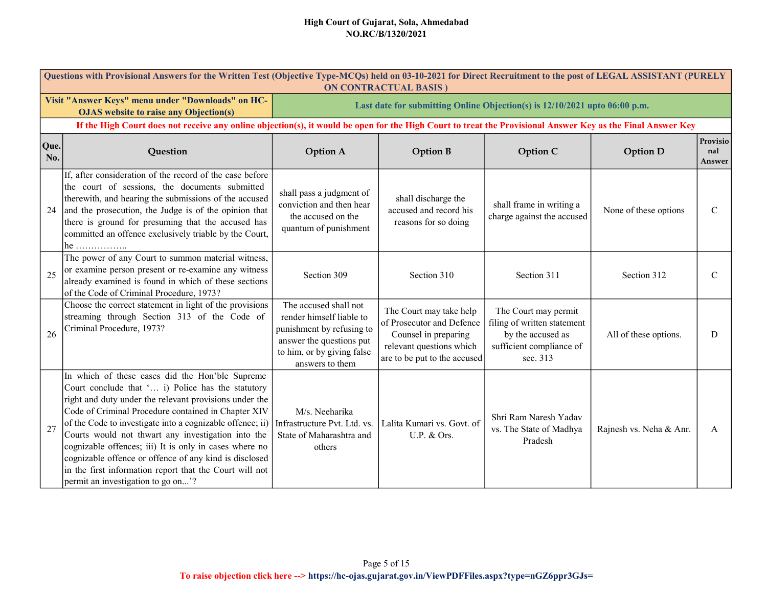|             | Questions with Provisional Answers for the Written Test (Objective Type-MCQs) held on 03-10-2021 for Direct Recruitment to the post of LEGAL ASSISTANT (PURELY<br><b>ON CONTRACTUAL BASIS</b> )                                                                                                                                                                                                                                                                                                                                                               |                                                                                                                                                             |                                                                                                                                          |                                                                                                                  |                         |                           |  |  |  |
|-------------|---------------------------------------------------------------------------------------------------------------------------------------------------------------------------------------------------------------------------------------------------------------------------------------------------------------------------------------------------------------------------------------------------------------------------------------------------------------------------------------------------------------------------------------------------------------|-------------------------------------------------------------------------------------------------------------------------------------------------------------|------------------------------------------------------------------------------------------------------------------------------------------|------------------------------------------------------------------------------------------------------------------|-------------------------|---------------------------|--|--|--|
|             | Visit "Answer Keys" menu under "Downloads" on HC-<br><b>OJAS</b> website to raise any Objection(s)                                                                                                                                                                                                                                                                                                                                                                                                                                                            |                                                                                                                                                             | Last date for submitting Online Objection(s) is 12/10/2021 upto 06:00 p.m.                                                               |                                                                                                                  |                         |                           |  |  |  |
|             | If the High Court does not receive any online objection(s), it would be open for the High Court to treat the Provisional Answer Key as the Final Answer Key                                                                                                                                                                                                                                                                                                                                                                                                   |                                                                                                                                                             |                                                                                                                                          |                                                                                                                  |                         |                           |  |  |  |
| Que.<br>No. | Question                                                                                                                                                                                                                                                                                                                                                                                                                                                                                                                                                      | <b>Option A</b>                                                                                                                                             | <b>Option B</b>                                                                                                                          | Option C                                                                                                         | <b>Option D</b>         | Provisio<br>nal<br>Answer |  |  |  |
| 24          | If, after consideration of the record of the case before<br>the court of sessions, the documents submitted<br>therewith, and hearing the submissions of the accused<br>and the prosecution, the Judge is of the opinion that<br>there is ground for presuming that the accused has<br>committed an offence exclusively triable by the Court,<br>$he$                                                                                                                                                                                                          | shall pass a judgment of<br>conviction and then hear<br>the accused on the<br>quantum of punishment                                                         | shall discharge the<br>accused and record his<br>reasons for so doing                                                                    | shall frame in writing a<br>charge against the accused                                                           | None of these options   | $\mathcal{C}$             |  |  |  |
| 25          | The power of any Court to summon material witness,<br>or examine person present or re-examine any witness<br>already examined is found in which of these sections<br>of the Code of Criminal Procedure, 1973?                                                                                                                                                                                                                                                                                                                                                 | Section 309                                                                                                                                                 | Section 310                                                                                                                              | Section 311                                                                                                      | Section 312             | $\mathcal{C}$             |  |  |  |
| 26          | Choose the correct statement in light of the provisions<br>streaming through Section 313 of the Code of<br>Criminal Procedure, 1973?                                                                                                                                                                                                                                                                                                                                                                                                                          | The accused shall not<br>render himself liable to<br>punishment by refusing to<br>answer the questions put<br>to him, or by giving false<br>answers to them | The Court may take help<br>of Prosecutor and Defence<br>Counsel in preparing<br>relevant questions which<br>are to be put to the accused | The Court may permit<br>filing of written statement<br>by the accused as<br>sufficient compliance of<br>sec. 313 | All of these options.   | D                         |  |  |  |
| 27          | In which of these cases did the Hon'ble Supreme<br>Court conclude that ' i) Police has the statutory<br>right and duty under the relevant provisions under the<br>Code of Criminal Procedure contained in Chapter XIV<br>of the Code to investigate into a cognizable offence; ii)<br>Courts would not thwart any investigation into the<br>cognizable offences; iii) It is only in cases where no<br>cognizable offence or offence of any kind is disclosed<br>in the first information report that the Court will not<br>permit an investigation to go on'? | M/s. Neeharika<br>Infrastructure Pvt. Ltd. vs.<br>State of Maharashtra and<br>others                                                                        | Lalita Kumari vs. Govt. of<br>U.P. & Ors.                                                                                                | Shri Ram Naresh Yadav<br>vs. The State of Madhya<br>Pradesh                                                      | Rajnesh vs. Neha & Anr. | A                         |  |  |  |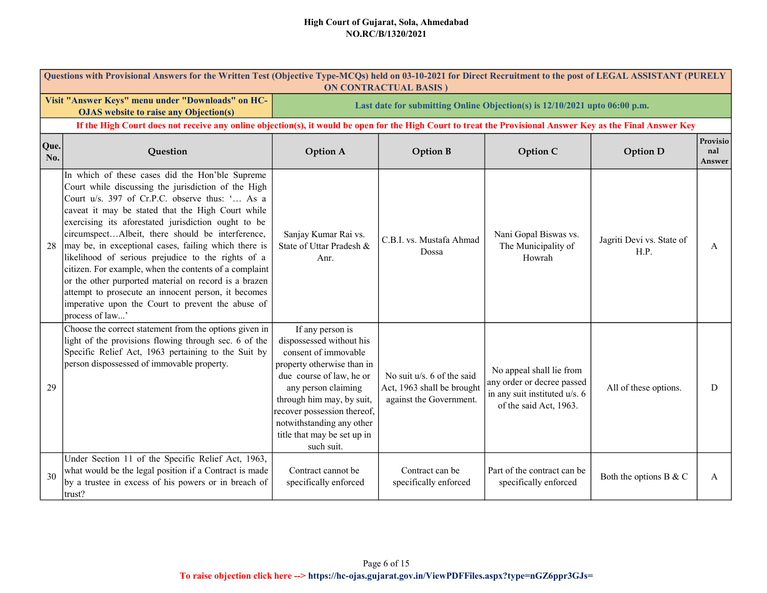|             | Questions with Provisional Answers for the Written Test (Objective Type-MCQs) held on 03-10-2021 for Direct Recruitment to the post of LEGAL ASSISTANT (PURELY<br><b>ON CONTRACTUAL BASIS</b> )                                                                                                                                                                                                                                                                                                                                                                                                                                                                                          |                                                                                                                                                                                                                                                                                             |                                                                                        |                                                                                                                   |                                   |                           |  |  |  |  |
|-------------|------------------------------------------------------------------------------------------------------------------------------------------------------------------------------------------------------------------------------------------------------------------------------------------------------------------------------------------------------------------------------------------------------------------------------------------------------------------------------------------------------------------------------------------------------------------------------------------------------------------------------------------------------------------------------------------|---------------------------------------------------------------------------------------------------------------------------------------------------------------------------------------------------------------------------------------------------------------------------------------------|----------------------------------------------------------------------------------------|-------------------------------------------------------------------------------------------------------------------|-----------------------------------|---------------------------|--|--|--|--|
|             | Visit "Answer Keys" menu under "Downloads" on HC-<br><b>OJAS</b> website to raise any Objection(s)                                                                                                                                                                                                                                                                                                                                                                                                                                                                                                                                                                                       | Last date for submitting Online Objection(s) is 12/10/2021 upto 06:00 p.m.                                                                                                                                                                                                                  |                                                                                        |                                                                                                                   |                                   |                           |  |  |  |  |
|             | If the High Court does not receive any online objection(s), it would be open for the High Court to treat the Provisional Answer Key as the Final Answer Key                                                                                                                                                                                                                                                                                                                                                                                                                                                                                                                              |                                                                                                                                                                                                                                                                                             |                                                                                        |                                                                                                                   |                                   |                           |  |  |  |  |
| Que.<br>No. | Question                                                                                                                                                                                                                                                                                                                                                                                                                                                                                                                                                                                                                                                                                 | <b>Option A</b>                                                                                                                                                                                                                                                                             | <b>Option B</b>                                                                        | <b>Option C</b>                                                                                                   | <b>Option D</b>                   | Provisio<br>nal<br>Answer |  |  |  |  |
| 28          | In which of these cases did the Hon'ble Supreme<br>Court while discussing the jurisdiction of the High<br>Court u/s. 397 of Cr.P.C. observe thus: ' As a<br>caveat it may be stated that the High Court while<br>exercising its aforestated jurisdiction ought to be<br>circumspectAlbeit, there should be interference,<br>may be, in exceptional cases, failing which there is<br>likelihood of serious prejudice to the rights of a<br>citizen. For example, when the contents of a complaint<br>or the other purported material on record is a brazen<br>attempt to prosecute an innocent person, it becomes<br>imperative upon the Court to prevent the abuse of<br>process of law' | Sanjay Kumar Rai vs.<br>State of Uttar Pradesh &<br>Anr.                                                                                                                                                                                                                                    | C.B.I. vs. Mustafa Ahmad<br>Dossa                                                      | Nani Gopal Biswas vs.<br>The Municipality of<br>Howrah                                                            | Jagriti Devi vs. State of<br>H.P. | A                         |  |  |  |  |
| 29          | Choose the correct statement from the options given in<br>light of the provisions flowing through sec. 6 of the<br>Specific Relief Act, 1963 pertaining to the Suit by<br>person dispossessed of immovable property.                                                                                                                                                                                                                                                                                                                                                                                                                                                                     | If any person is<br>dispossessed without his<br>consent of immovable<br>property otherwise than in<br>due course of law, he or<br>any person claiming<br>through him may, by suit,<br>recover possession thereof,<br>notwithstanding any other<br>title that may be set up in<br>such suit. | No suit $u/s$ . 6 of the said<br>Act, 1963 shall be brought<br>against the Government. | No appeal shall lie from<br>any order or decree passed<br>in any suit instituted u/s. 6<br>of the said Act, 1963. | All of these options.             | D                         |  |  |  |  |
| 30          | Under Section 11 of the Specific Relief Act, 1963,<br>what would be the legal position if a Contract is made<br>by a trustee in excess of his powers or in breach of<br>trust?                                                                                                                                                                                                                                                                                                                                                                                                                                                                                                           | Contract cannot be<br>specifically enforced                                                                                                                                                                                                                                                 | Contract can be<br>specifically enforced                                               | Part of the contract can be<br>specifically enforced                                                              | Both the options B & C            | A                         |  |  |  |  |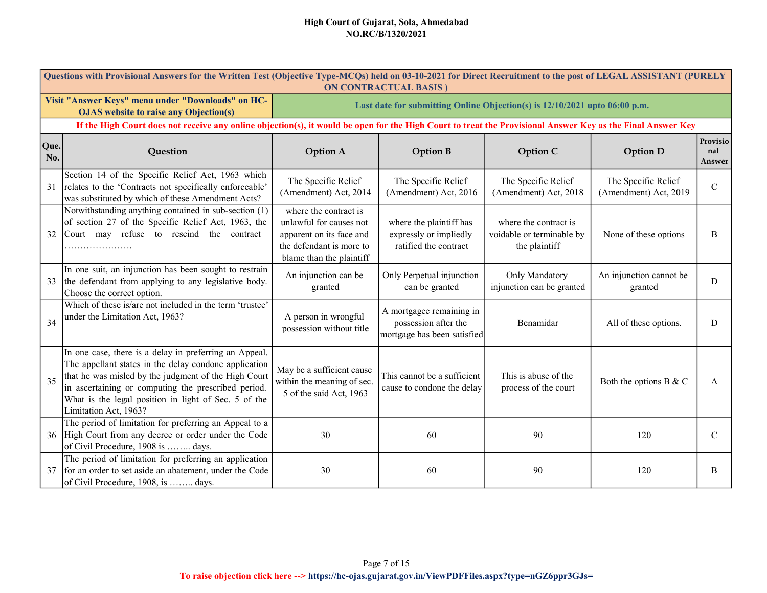|             | Questions with Provisional Answers for the Written Test (Objective Type-MCQs) held on 03-10-2021 for Direct Recruitment to the post of LEGAL ASSISTANT (PURELY<br><b>ON CONTRACTUAL BASIS)</b>                                                                                                                  |                                                                                                                                      |                                                                                 |                                                                     |                                              |                           |  |  |  |  |
|-------------|-----------------------------------------------------------------------------------------------------------------------------------------------------------------------------------------------------------------------------------------------------------------------------------------------------------------|--------------------------------------------------------------------------------------------------------------------------------------|---------------------------------------------------------------------------------|---------------------------------------------------------------------|----------------------------------------------|---------------------------|--|--|--|--|
|             | Visit "Answer Keys" menu under "Downloads" on HC-<br><b>OJAS</b> website to raise any Objection(s)                                                                                                                                                                                                              | Last date for submitting Online Objection(s) is 12/10/2021 upto 06:00 p.m.                                                           |                                                                                 |                                                                     |                                              |                           |  |  |  |  |
|             | If the High Court does not receive any online objection(s), it would be open for the High Court to treat the Provisional Answer Key as the Final Answer Key                                                                                                                                                     |                                                                                                                                      |                                                                                 |                                                                     |                                              |                           |  |  |  |  |
| Que.<br>No. | Question                                                                                                                                                                                                                                                                                                        | <b>Option A</b>                                                                                                                      | <b>Option B</b>                                                                 | Option C                                                            | <b>Option D</b>                              | Provisio<br>nal<br>Answer |  |  |  |  |
| 31          | Section 14 of the Specific Relief Act, 1963 which<br>relates to the 'Contracts not specifically enforceable'<br>was substituted by which of these Amendment Acts?                                                                                                                                               | The Specific Relief<br>(Amendment) Act, 2014                                                                                         | The Specific Relief<br>(Amendment) Act, 2016                                    | The Specific Relief<br>(Amendment) Act, 2018                        | The Specific Relief<br>(Amendment) Act, 2019 | $\mathcal{C}$             |  |  |  |  |
| 32          | Notwithstanding anything contained in sub-section (1)<br>of section 27 of the Specific Relief Act, 1963, the<br>Court may refuse to rescind the contract                                                                                                                                                        | where the contract is<br>unlawful for causes not<br>apparent on its face and<br>the defendant is more to<br>blame than the plaintiff | where the plaintiff has<br>expressly or impliedly<br>ratified the contract      | where the contract is<br>voidable or terminable by<br>the plaintiff | None of these options                        | B                         |  |  |  |  |
| 33          | In one suit, an injunction has been sought to restrain<br>the defendant from applying to any legislative body.<br>Choose the correct option.                                                                                                                                                                    | An injunction can be<br>granted                                                                                                      | Only Perpetual injunction<br>can be granted                                     | Only Mandatory<br>injunction can be granted                         | An injunction cannot be<br>granted           | D                         |  |  |  |  |
| 34          | Which of these is/are not included in the term 'trustee'<br>under the Limitation Act, 1963?                                                                                                                                                                                                                     | A person in wrongful<br>possession without title                                                                                     | A mortgagee remaining in<br>possession after the<br>mortgage has been satisfied | Benamidar                                                           | All of these options.                        | D                         |  |  |  |  |
| 35          | In one case, there is a delay in preferring an Appeal.<br>The appellant states in the delay condone application<br>that he was misled by the judgment of the High Court<br>in ascertaining or computing the prescribed period.<br>What is the legal position in light of Sec. 5 of the<br>Limitation Act, 1963? | May be a sufficient cause<br>within the meaning of sec.<br>5 of the said Act, 1963                                                   | This cannot be a sufficient<br>cause to condone the delay                       | This is abuse of the<br>process of the court                        | Both the options B & C                       | A                         |  |  |  |  |
| 36          | The period of limitation for preferring an Appeal to a<br>High Court from any decree or order under the Code<br>of Civil Procedure, 1908 is  days.                                                                                                                                                              | 30                                                                                                                                   | 60                                                                              | 90                                                                  | 120                                          | $\mathcal{C}$             |  |  |  |  |
| 37          | The period of limitation for preferring an application<br>for an order to set aside an abatement, under the Code<br>of Civil Procedure, 1908, is  days.                                                                                                                                                         | 30                                                                                                                                   | 60                                                                              | 90                                                                  | 120                                          | B                         |  |  |  |  |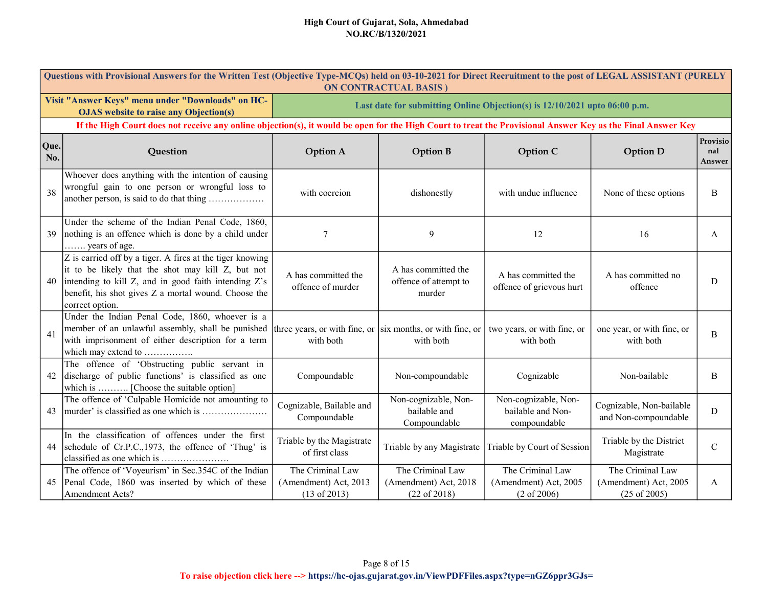|             | Questions with Provisional Answers for the Written Test (Objective Type-MCQs) held on 03-10-2021 for Direct Recruitment to the post of LEGAL ASSISTANT (PURELY<br><b>ON CONTRACTUAL BASIS)</b>                                                    |                                                                            |                                                                             |                                                                     |                                                                      |                           |  |  |  |  |
|-------------|---------------------------------------------------------------------------------------------------------------------------------------------------------------------------------------------------------------------------------------------------|----------------------------------------------------------------------------|-----------------------------------------------------------------------------|---------------------------------------------------------------------|----------------------------------------------------------------------|---------------------------|--|--|--|--|
|             | Visit "Answer Keys" menu under "Downloads" on HC-<br><b>OJAS</b> website to raise any Objection(s)                                                                                                                                                | Last date for submitting Online Objection(s) is 12/10/2021 upto 06:00 p.m. |                                                                             |                                                                     |                                                                      |                           |  |  |  |  |
|             | If the High Court does not receive any online objection(s), it would be open for the High Court to treat the Provisional Answer Key as the Final Answer Key                                                                                       |                                                                            |                                                                             |                                                                     |                                                                      |                           |  |  |  |  |
| Que.<br>No. | Question                                                                                                                                                                                                                                          | <b>Option A</b>                                                            | <b>Option B</b>                                                             | Option C                                                            | <b>Option D</b>                                                      | Provisio<br>nal<br>Answer |  |  |  |  |
| 38          | Whoever does anything with the intention of causing<br>wrongful gain to one person or wrongful loss to<br>another person, is said to do that thing                                                                                                | with coercion                                                              | dishonestly                                                                 | with undue influence                                                | None of these options                                                | B                         |  |  |  |  |
| 39          | Under the scheme of the Indian Penal Code, 1860,<br>nothing is an offence which is done by a child under<br>years of age.                                                                                                                         | 7                                                                          | 9                                                                           | 12                                                                  | 16                                                                   | A                         |  |  |  |  |
| 40          | Z is carried off by a tiger. A fires at the tiger knowing<br>it to be likely that the shot may kill Z, but not<br>intending to kill Z, and in good faith intending Z's<br>benefit, his shot gives Z a mortal wound. Choose the<br>correct option. | A has committed the<br>offence of murder                                   | A has committed the<br>offence of attempt to<br>murder                      | A has committed the<br>offence of grievous hurt                     | A has committed no<br>offence                                        | D                         |  |  |  |  |
| 41          | Under the Indian Penal Code, 1860, whoever is a<br>member of an unlawful assembly, shall be punished<br>with imprisonment of either description for a term<br>which may extend to                                                                 | with both                                                                  | three years, or with fine, or   six months, or with fine, or  <br>with both | two years, or with fine, or<br>with both                            | one year, or with fine, or<br>with both                              | B                         |  |  |  |  |
| 42          | The offence of 'Obstructing public servant in<br>discharge of public functions' is classified as one<br>which is  [Choose the suitable option]                                                                                                    | Compoundable                                                               | Non-compoundable                                                            | Cognizable                                                          | Non-bailable                                                         | B                         |  |  |  |  |
| 43          | The offence of 'Culpable Homicide not amounting to<br>murder' is classified as one which is                                                                                                                                                       | Cognizable, Bailable and<br>Compoundable                                   | Non-cognizable, Non-<br>bailable and<br>Compoundable                        | Non-cognizable, Non-<br>bailable and Non-<br>compoundable           | Cognizable, Non-bailable<br>and Non-compoundable                     | D                         |  |  |  |  |
| 44          | In the classification of offences under the first<br>schedule of Cr.P.C., 1973, the offence of 'Thug' is<br>classified as one which is                                                                                                            | Triable by the Magistrate<br>of first class                                | Triable by any Magistrate                                                   | Triable by Court of Session                                         | Triable by the District<br>Magistrate                                | $\mathsf{C}$              |  |  |  |  |
| 45          | The offence of 'Voyeurism' in Sec.354C of the Indian<br>Penal Code, 1860 was inserted by which of these<br>Amendment Acts?                                                                                                                        | The Criminal Law<br>(Amendment) Act, 2013<br>$(13 \text{ of } 2013)$       | The Criminal Law<br>(Amendment) Act, 2018<br>(22 of 2018)                   | The Criminal Law<br>(Amendment) Act, 2005<br>$(2 \text{ of } 2006)$ | The Criminal Law<br>(Amendment) Act, 2005<br>$(25 \text{ of } 2005)$ | A                         |  |  |  |  |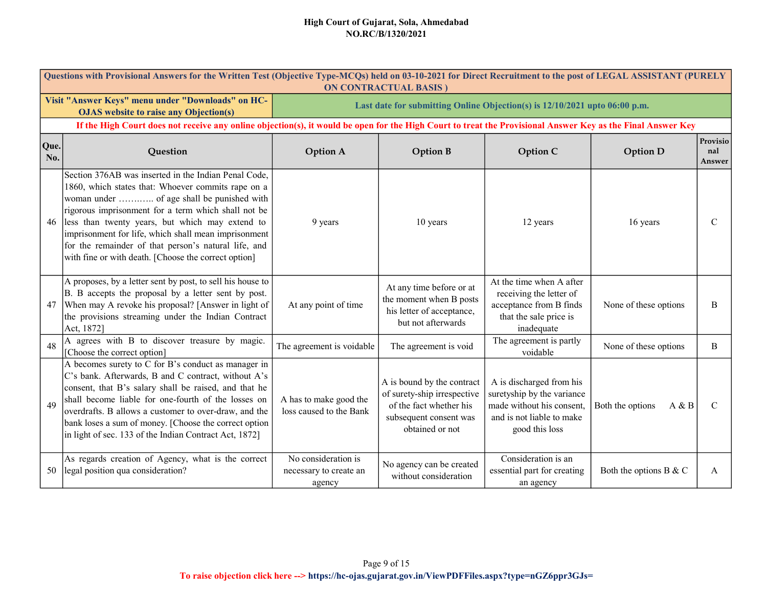|             | Questions with Provisional Answers for the Written Test (Objective Type-MCQs) held on 03-10-2021 for Direct Recruitment to the post of LEGAL ASSISTANT (PURELY<br><b>ON CONTRACTUAL BASIS)</b>                                                                                                                                                                                                                                             |                                                                            |                                                                                                                                   |                                                                                                                                    |                           |                           |  |  |  |  |
|-------------|--------------------------------------------------------------------------------------------------------------------------------------------------------------------------------------------------------------------------------------------------------------------------------------------------------------------------------------------------------------------------------------------------------------------------------------------|----------------------------------------------------------------------------|-----------------------------------------------------------------------------------------------------------------------------------|------------------------------------------------------------------------------------------------------------------------------------|---------------------------|---------------------------|--|--|--|--|
|             | Visit "Answer Keys" menu under "Downloads" on HC-<br><b>OJAS</b> website to raise any Objection(s)                                                                                                                                                                                                                                                                                                                                         | Last date for submitting Online Objection(s) is 12/10/2021 upto 06:00 p.m. |                                                                                                                                   |                                                                                                                                    |                           |                           |  |  |  |  |
|             | If the High Court does not receive any online objection(s), it would be open for the High Court to treat the Provisional Answer Key as the Final Answer Key                                                                                                                                                                                                                                                                                |                                                                            |                                                                                                                                   |                                                                                                                                    |                           |                           |  |  |  |  |
| Que.<br>No. | Question                                                                                                                                                                                                                                                                                                                                                                                                                                   | <b>Option A</b>                                                            | <b>Option B</b>                                                                                                                   | Option C                                                                                                                           | <b>Option D</b>           | Provisio<br>nal<br>Answer |  |  |  |  |
| 46          | Section 376AB was inserted in the Indian Penal Code,<br>1860, which states that: Whoever commits rape on a<br>woman under  of age shall be punished with<br>rigorous imprisonment for a term which shall not be<br>less than twenty years, but which may extend to<br>imprisonment for life, which shall mean imprisonment<br>for the remainder of that person's natural life, and<br>with fine or with death. [Choose the correct option] | 9 years                                                                    | 10 years                                                                                                                          | 12 years                                                                                                                           | 16 years                  | $\mathbf C$               |  |  |  |  |
| 47          | A proposes, by a letter sent by post, to sell his house to<br>B. B accepts the proposal by a letter sent by post.<br>When may A revoke his proposal? [Answer in light of<br>the provisions streaming under the Indian Contract<br>Act, 1872]                                                                                                                                                                                               | At any point of time                                                       | At any time before or at<br>the moment when B posts<br>his letter of acceptance,<br>but not afterwards                            | At the time when A after<br>receiving the letter of<br>acceptance from B finds<br>that the sale price is<br>inadequate             | None of these options     | B                         |  |  |  |  |
| 48          | A agrees with B to discover treasure by magic.<br>[Choose the correct option]                                                                                                                                                                                                                                                                                                                                                              | The agreement is voidable                                                  | The agreement is void                                                                                                             | The agreement is partly<br>voidable                                                                                                | None of these options     | B                         |  |  |  |  |
| 49          | A becomes surety to C for B's conduct as manager in<br>C's bank. Afterwards, B and C contract, without A's<br>consent, that B's salary shall be raised, and that he<br>shall become liable for one-fourth of the losses on<br>overdrafts. B allows a customer to over-draw, and the<br>bank loses a sum of money. [Choose the correct option<br>in light of sec. 133 of the Indian Contract Act, 1872]                                     | A has to make good the<br>loss caused to the Bank                          | A is bound by the contract<br>of surety-ship irrespective<br>of the fact whether his<br>subsequent consent was<br>obtained or not | A is discharged from his<br>suretyship by the variance<br>made without his consent,<br>and is not liable to make<br>good this loss | Both the options<br>A & B | $\mathcal{C}$             |  |  |  |  |
| 50          | As regards creation of Agency, what is the correct<br>legal position qua consideration?                                                                                                                                                                                                                                                                                                                                                    | No consideration is<br>necessary to create an<br>agency                    | No agency can be created<br>without consideration                                                                                 | Consideration is an<br>essential part for creating<br>an agency                                                                    | Both the options B & C    | A                         |  |  |  |  |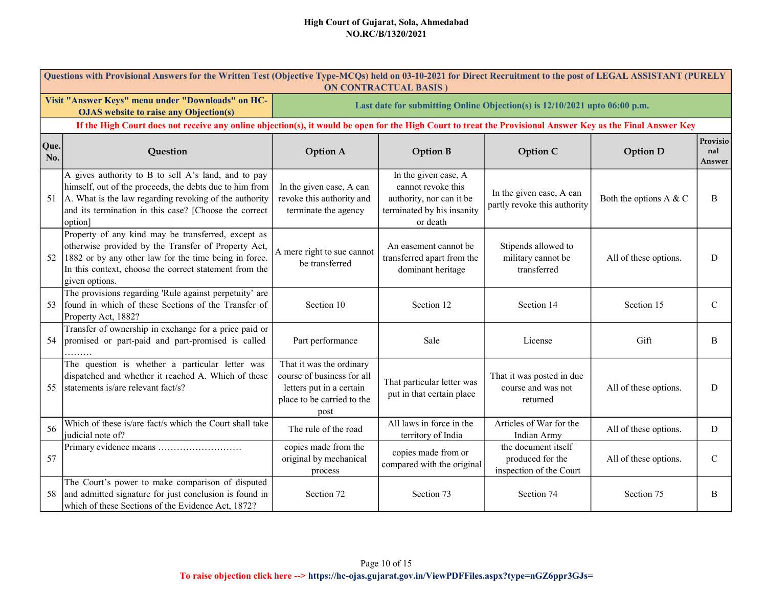|             | Questions with Provisional Answers for the Written Test (Objective Type-MCQs) held on 03-10-2021 for Direct Recruitment to the post of LEGAL ASSISTANT (PURELY<br><b>ON CONTRACTUAL BASIS</b> )                                                 |                                                                                                                          |                                                                                                                  |                                                                            |                           |                           |  |  |  |  |
|-------------|-------------------------------------------------------------------------------------------------------------------------------------------------------------------------------------------------------------------------------------------------|--------------------------------------------------------------------------------------------------------------------------|------------------------------------------------------------------------------------------------------------------|----------------------------------------------------------------------------|---------------------------|---------------------------|--|--|--|--|
|             | Visit "Answer Keys" menu under "Downloads" on HC-<br><b>OJAS</b> website to raise any Objection(s)                                                                                                                                              |                                                                                                                          |                                                                                                                  | Last date for submitting Online Objection(s) is 12/10/2021 upto 06:00 p.m. |                           |                           |  |  |  |  |
|             | If the High Court does not receive any online objection(s), it would be open for the High Court to treat the Provisional Answer Key as the Final Answer Key                                                                                     |                                                                                                                          |                                                                                                                  |                                                                            |                           |                           |  |  |  |  |
| Que.<br>No. | Question                                                                                                                                                                                                                                        | <b>Option A</b>                                                                                                          | <b>Option B</b>                                                                                                  | Option C                                                                   | <b>Option D</b>           | Provisio<br>nal<br>Answer |  |  |  |  |
|             | A gives authority to B to sell A's land, and to pay<br>himself, out of the proceeds, the debts due to him from<br>51 A. What is the law regarding revoking of the authority<br>and its termination in this case? [Choose the correct<br>option] | In the given case, A can<br>revoke this authority and<br>terminate the agency                                            | In the given case, A<br>cannot revoke this<br>authority, nor can it be<br>terminated by his insanity<br>or death | In the given case, A can<br>partly revoke this authority                   | Both the options $A \& C$ | B                         |  |  |  |  |
| 52          | Property of any kind may be transferred, except as<br>otherwise provided by the Transfer of Property Act,<br>1882 or by any other law for the time being in force.<br>In this context, choose the correct statement from the<br>given options.  | A mere right to sue cannot<br>be transferred                                                                             | An easement cannot be<br>transferred apart from the<br>dominant heritage                                         | Stipends allowed to<br>military cannot be<br>transferred                   | All of these options.     | D                         |  |  |  |  |
| 53          | The provisions regarding 'Rule against perpetuity' are<br>found in which of these Sections of the Transfer of<br>Property Act, 1882?                                                                                                            | Section 10                                                                                                               | Section 12                                                                                                       | Section 14                                                                 | Section 15                | $\mathsf{C}$              |  |  |  |  |
| 54 l        | Transfer of ownership in exchange for a price paid or<br>promised or part-paid and part-promised is called                                                                                                                                      | Part performance                                                                                                         | Sale                                                                                                             | License                                                                    | Gift                      | B                         |  |  |  |  |
| 55          | The question is whether a particular letter was<br>dispatched and whether it reached A. Which of these<br>statements is/are relevant fact/s?                                                                                                    | That it was the ordinary<br>course of business for all<br>letters put in a certain<br>place to be carried to the<br>post | That particular letter was<br>put in that certain place                                                          | That it was posted in due<br>course and was not<br>returned                | All of these options.     | D                         |  |  |  |  |
| 56          | Which of these is/are fact/s which the Court shall take<br>judicial note of?                                                                                                                                                                    | The rule of the road                                                                                                     | All laws in force in the<br>territory of India                                                                   | Articles of War for the<br>Indian Army                                     | All of these options.     | D                         |  |  |  |  |
| 57          | Primary evidence means                                                                                                                                                                                                                          | copies made from the<br>original by mechanical<br>process                                                                | copies made from or<br>compared with the original                                                                | the document itself<br>produced for the<br>inspection of the Court         | All of these options.     | $\mathsf{C}$              |  |  |  |  |
| 58          | The Court's power to make comparison of disputed<br>and admitted signature for just conclusion is found in<br>which of these Sections of the Evidence Act, 1872?                                                                                | Section 72                                                                                                               | Section 73                                                                                                       | Section 74                                                                 | Section 75                | B                         |  |  |  |  |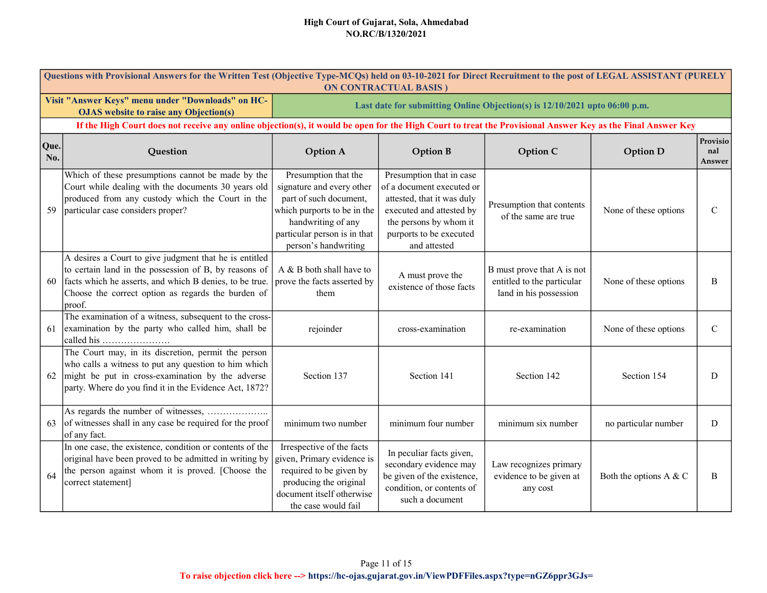|             | Questions with Provisional Answers for the Written Test (Objective Type-MCQs) held on 03-10-2021 for Direct Recruitment to the post of LEGAL ASSISTANT (PURELY<br><b>ON CONTRACTUAL BASIS)</b>                                             |                                                                                                                                                                                          |                                                                                                                                                                                      |                                                                                    |                        |                           |  |  |  |  |
|-------------|--------------------------------------------------------------------------------------------------------------------------------------------------------------------------------------------------------------------------------------------|------------------------------------------------------------------------------------------------------------------------------------------------------------------------------------------|--------------------------------------------------------------------------------------------------------------------------------------------------------------------------------------|------------------------------------------------------------------------------------|------------------------|---------------------------|--|--|--|--|
|             | Visit "Answer Keys" menu under "Downloads" on HC-<br><b>OJAS</b> website to raise any Objection(s)                                                                                                                                         |                                                                                                                                                                                          | Last date for submitting Online Objection(s) is 12/10/2021 upto 06:00 p.m.                                                                                                           |                                                                                    |                        |                           |  |  |  |  |
|             | If the High Court does not receive any online objection(s), it would be open for the High Court to treat the Provisional Answer Key as the Final Answer Key                                                                                |                                                                                                                                                                                          |                                                                                                                                                                                      |                                                                                    |                        |                           |  |  |  |  |
| Que.<br>No. | Question                                                                                                                                                                                                                                   | <b>Option A</b>                                                                                                                                                                          | <b>Option B</b>                                                                                                                                                                      | Option C                                                                           | <b>Option D</b>        | Provisio<br>nal<br>Answer |  |  |  |  |
| 59          | Which of these presumptions cannot be made by the<br>Court while dealing with the documents 30 years old<br>produced from any custody which the Court in the<br>particular case considers proper?                                          | Presumption that the<br>signature and every other<br>part of such document,<br>which purports to be in the<br>handwriting of any<br>particular person is in that<br>person's handwriting | Presumption that in case<br>of a document executed or<br>attested, that it was duly<br>executed and attested by<br>the persons by whom it<br>purports to be executed<br>and attested | Presumption that contents<br>of the same are true                                  | None of these options  | $\mathbf C$               |  |  |  |  |
| 60          | A desires a Court to give judgment that he is entitled<br>to certain land in the possession of B, by reasons of<br>facts which he asserts, and which B denies, to be true.<br>Choose the correct option as regards the burden of<br>proof. | A & B both shall have to<br>prove the facts asserted by<br>them                                                                                                                          | A must prove the<br>existence of those facts                                                                                                                                         | B must prove that A is not<br>entitled to the particular<br>land in his possession | None of these options  | B                         |  |  |  |  |
| 61          | The examination of a witness, subsequent to the cross-<br>examination by the party who called him, shall be<br>called his                                                                                                                  | rejoinder                                                                                                                                                                                | cross-examination                                                                                                                                                                    | re-examination                                                                     | None of these options  | $\mathbf C$               |  |  |  |  |
| 62          | The Court may, in its discretion, permit the person<br>who calls a witness to put any question to him which<br>might be put in cross-examination by the adverse<br>party. Where do you find it in the Evidence Act, 1872?                  | Section 137                                                                                                                                                                              | Section 141                                                                                                                                                                          | Section 142                                                                        | Section 154            | D                         |  |  |  |  |
| 63          | of witnesses shall in any case be required for the proof<br>of any fact.                                                                                                                                                                   | minimum two number                                                                                                                                                                       | minimum four number                                                                                                                                                                  | minimum six number                                                                 | no particular number   | D                         |  |  |  |  |
| 64          | In one case, the existence, condition or contents of the<br>original have been proved to be admitted in writing by<br>the person against whom it is proved. [Choose the<br>correct statement]                                              | Irrespective of the facts<br>given, Primary evidence is<br>required to be given by<br>producing the original<br>document itself otherwise<br>the case would fail                         | In peculiar facts given,<br>secondary evidence may<br>be given of the existence,<br>condition, or contents of<br>such a document                                                     | Law recognizes primary<br>evidence to be given at<br>any cost                      | Both the options A & C | B                         |  |  |  |  |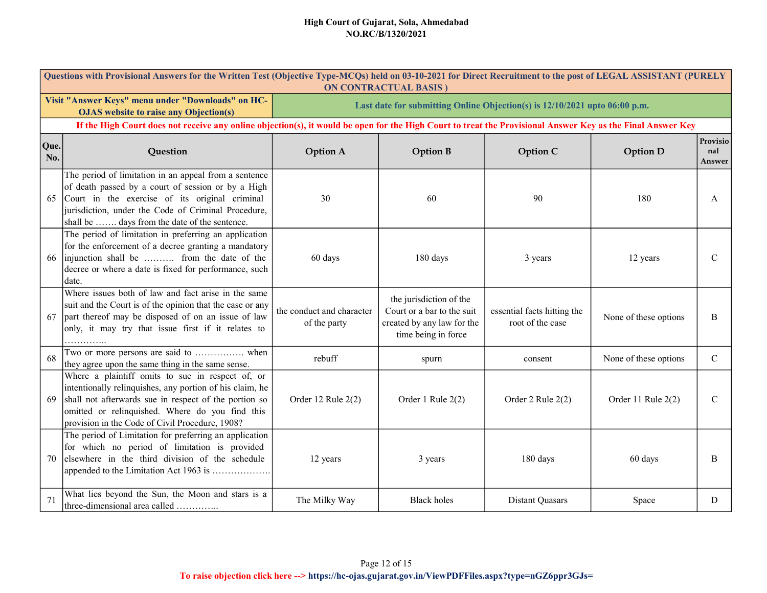|             | Questions with Provisional Answers for the Written Test (Objective Type-MCQs) held on 03-10-2021 for Direct Recruitment to the post of LEGAL ASSISTANT (PURELY<br><b>ON CONTRACTUAL BASIS)</b>                                                                              |                                                                            |                                                                                                            |                                                 |                       |                           |  |  |  |
|-------------|-----------------------------------------------------------------------------------------------------------------------------------------------------------------------------------------------------------------------------------------------------------------------------|----------------------------------------------------------------------------|------------------------------------------------------------------------------------------------------------|-------------------------------------------------|-----------------------|---------------------------|--|--|--|
|             | Visit "Answer Keys" menu under "Downloads" on HC-<br><b>OJAS</b> website to raise any Objection(s)                                                                                                                                                                          | Last date for submitting Online Objection(s) is 12/10/2021 upto 06:00 p.m. |                                                                                                            |                                                 |                       |                           |  |  |  |
|             | If the High Court does not receive any online objection(s), it would be open for the High Court to treat the Provisional Answer Key as the Final Answer Key                                                                                                                 |                                                                            |                                                                                                            |                                                 |                       |                           |  |  |  |
| Que.<br>No. | Question                                                                                                                                                                                                                                                                    | <b>Option A</b>                                                            | <b>Option B</b>                                                                                            | Option C                                        | <b>Option D</b>       | Provisio<br>nal<br>Answer |  |  |  |
| 65          | The period of limitation in an appeal from a sentence<br>of death passed by a court of session or by a High<br>Court in the exercise of its original criminal<br>jurisdiction, under the Code of Criminal Procedure,<br>shall be  days from the date of the sentence.       | 30                                                                         | 60                                                                                                         | 90                                              | 180                   | A                         |  |  |  |
| 66          | The period of limitation in preferring an application<br>for the enforcement of a decree granting a mandatory<br>injunction shall be  from the date of the<br>decree or where a date is fixed for performance, such<br>date.                                                | 60 days                                                                    | 180 days                                                                                                   | 3 years                                         | 12 years              | $\mathcal{C}$             |  |  |  |
| 67          | Where issues both of law and fact arise in the same<br>suit and the Court is of the opinion that the case or any<br>part thereof may be disposed of on an issue of law<br>only, it may try that issue first if it relates to                                                | the conduct and character<br>of the party                                  | the jurisdiction of the<br>Court or a bar to the suit<br>created by any law for the<br>time being in force | essential facts hitting the<br>root of the case | None of these options | B                         |  |  |  |
| 68          | Two or more persons are said to  when<br>they agree upon the same thing in the same sense.                                                                                                                                                                                  | rebuff                                                                     | spurn                                                                                                      | consent                                         | None of these options | $\mathcal{C}$             |  |  |  |
| 69          | Where a plaintiff omits to sue in respect of, or<br>intentionally relinquishes, any portion of his claim, he<br>shall not afterwards sue in respect of the portion so<br>omitted or relinquished. Where do you find this<br>provision in the Code of Civil Procedure, 1908? | Order 12 Rule 2(2)                                                         | Order 1 Rule 2(2)                                                                                          | Order 2 Rule 2(2)                               | Order 11 Rule 2(2)    | $\mathcal{C}$             |  |  |  |
| 70          | The period of Limitation for preferring an application<br>for which no period of limitation is provided<br>elsewhere in the third division of the schedule<br>appended to the Limitation Act 1963 is                                                                        | 12 years                                                                   | 3 years                                                                                                    | 180 days                                        | 60 days               | B                         |  |  |  |
| 71          | What lies beyond the Sun, the Moon and stars is a<br>three-dimensional area called                                                                                                                                                                                          | The Milky Way                                                              | <b>Black holes</b>                                                                                         | <b>Distant Quasars</b>                          | Space                 | D                         |  |  |  |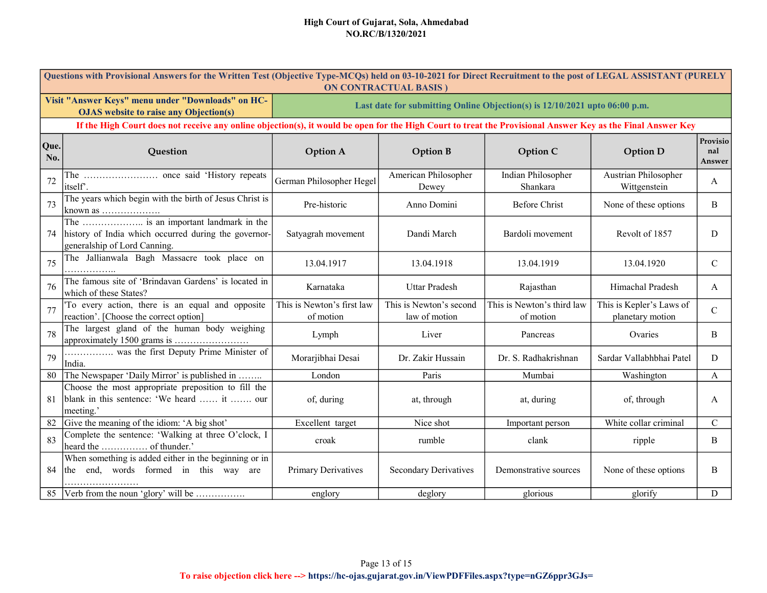| Questions with Provisional Answers for the Written Test (Objective Type-MCQs) held on 03-10-2021 for Direct Recruitment to the post of LEGAL ASSISTANT (PURELY<br><b>ON CONTRACTUAL BASIS)</b> |                                                                                                                              |                                                                            |                                          |                                         |                                              |                           |  |  |
|------------------------------------------------------------------------------------------------------------------------------------------------------------------------------------------------|------------------------------------------------------------------------------------------------------------------------------|----------------------------------------------------------------------------|------------------------------------------|-----------------------------------------|----------------------------------------------|---------------------------|--|--|
| Visit "Answer Keys" menu under "Downloads" on HC-<br><b>OJAS</b> website to raise any Objection(s)                                                                                             |                                                                                                                              | Last date for submitting Online Objection(s) is 12/10/2021 upto 06:00 p.m. |                                          |                                         |                                              |                           |  |  |
| If the High Court does not receive any online objection(s), it would be open for the High Court to treat the Provisional Answer Key as the Final Answer Key                                    |                                                                                                                              |                                                                            |                                          |                                         |                                              |                           |  |  |
| Que.<br>No.                                                                                                                                                                                    | Question                                                                                                                     | <b>Option A</b>                                                            | <b>Option B</b>                          | Option C                                | <b>Option D</b>                              | Provisio<br>nal<br>Answer |  |  |
| 72                                                                                                                                                                                             | itself'.                                                                                                                     | German Philosopher Hegel                                                   | American Philosopher<br>Dewey            | Indian Philosopher<br>Shankara          | Austrian Philosopher<br>Wittgenstein         | A                         |  |  |
| 73                                                                                                                                                                                             | The years which begin with the birth of Jesus Christ is                                                                      | Pre-historic                                                               | Anno Domini                              | Before Christ                           | None of these options                        | B                         |  |  |
| 74                                                                                                                                                                                             | The  is an important landmark in the<br>history of India which occurred during the governor-<br>generalship of Lord Canning. | Satyagrah movement                                                         | Dandi March                              | Bardoli movement                        | Revolt of 1857                               | D                         |  |  |
| 75                                                                                                                                                                                             | The Jallianwala Bagh Massacre took place on                                                                                  | 13.04.1917                                                                 | 13.04.1918                               | 13.04.1919                              | 13.04.1920                                   | $\mathcal{C}$             |  |  |
| 76                                                                                                                                                                                             | The famous site of 'Brindavan Gardens' is located in<br>which of these States?                                               | Karnataka                                                                  | <b>Uttar Pradesh</b>                     | Rajasthan                               | Himachal Pradesh                             | A                         |  |  |
| 77                                                                                                                                                                                             | To every action, there is an equal and opposite<br>reaction'. [Choose the correct option]                                    | This is Newton's first law<br>of motion                                    | This is Newton's second<br>law of motion | This is Newton's third law<br>of motion | This is Kepler's Laws of<br>planetary motion | $\mathbf C$               |  |  |
| 78                                                                                                                                                                                             | The largest gland of the human body weighing                                                                                 | Lymph                                                                      | Liver                                    | Pancreas                                | Ovaries                                      | B                         |  |  |
| 79                                                                                                                                                                                             | was the first Deputy Prime Minister of<br>India.                                                                             | Morarjibhai Desai                                                          | Dr. Zakir Hussain                        | Dr. S. Radhakrishnan                    | Sardar Vallabhbhai Patel                     | D                         |  |  |
| 80                                                                                                                                                                                             | The Newspaper 'Daily Mirror' is published in                                                                                 | London                                                                     | Paris                                    | Mumbai                                  | Washington                                   | A                         |  |  |
| 81                                                                                                                                                                                             | Choose the most appropriate preposition to fill the<br>blank in this sentence: 'We heard  it  our<br>meeting.'               | of, during                                                                 | at, through                              | at, during                              | of, through                                  | A                         |  |  |
| 82                                                                                                                                                                                             | Give the meaning of the idiom: 'A big shot'                                                                                  | Excellent target                                                           | Nice shot                                | Important person                        | White collar criminal                        | $\mathcal{C}$             |  |  |
| 83                                                                                                                                                                                             | Complete the sentence: 'Walking at three O'clock, I                                                                          | croak                                                                      | rumble                                   | clank                                   | ripple                                       | B                         |  |  |
| 84                                                                                                                                                                                             | When something is added either in the beginning or in<br>end, words formed in this way are<br>the                            | <b>Primary Derivatives</b>                                                 | <b>Secondary Derivatives</b>             | Demonstrative sources                   | None of these options                        | B                         |  |  |
| 85                                                                                                                                                                                             | Verb from the noun 'glory' will be                                                                                           | englory                                                                    | deglory                                  | glorious                                | glorify                                      | D                         |  |  |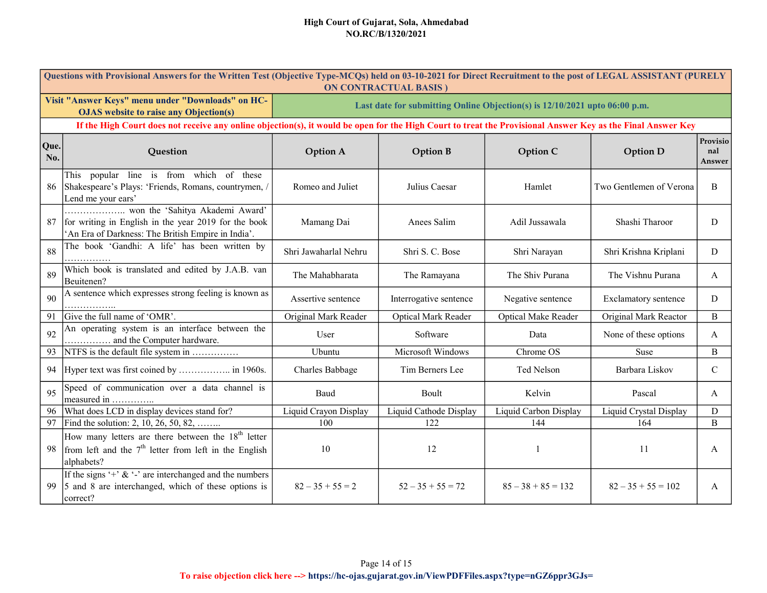| Questions with Provisional Answers for the Written Test (Objective Type-MCQs) held on 03-10-2021 for Direct Recruitment to the post of LEGAL ASSISTANT (PURELY<br><b>ON CONTRACTUAL BASIS)</b> |                                                                                                                                         |                                                                            |                        |                            |                         |                           |  |  |
|------------------------------------------------------------------------------------------------------------------------------------------------------------------------------------------------|-----------------------------------------------------------------------------------------------------------------------------------------|----------------------------------------------------------------------------|------------------------|----------------------------|-------------------------|---------------------------|--|--|
| Visit "Answer Keys" menu under "Downloads" on HC-<br><b>OJAS</b> website to raise any Objection(s)                                                                                             |                                                                                                                                         | Last date for submitting Online Objection(s) is 12/10/2021 upto 06:00 p.m. |                        |                            |                         |                           |  |  |
| If the High Court does not receive any online objection(s), it would be open for the High Court to treat the Provisional Answer Key as the Final Answer Key                                    |                                                                                                                                         |                                                                            |                        |                            |                         |                           |  |  |
| Que.<br>No.                                                                                                                                                                                    | Question                                                                                                                                | <b>Option A</b>                                                            | <b>Option B</b>        | Option C                   | <b>Option D</b>         | Provisio<br>nal<br>Answer |  |  |
| 86                                                                                                                                                                                             | This popular line is from which of these<br>Shakespeare's Plays: 'Friends, Romans, countrymen, /<br>Lend me your ears'                  | Romeo and Juliet                                                           | Julius Caesar          | Hamlet                     | Two Gentlemen of Verona | B                         |  |  |
| 87                                                                                                                                                                                             | for writing in English in the year 2019 for the book<br>An Era of Darkness: The British Empire in India'.                               | Mamang Dai                                                                 | Anees Salim            | Adil Jussawala             | Shashi Tharoor          | D                         |  |  |
| 88                                                                                                                                                                                             | The book 'Gandhi: A life' has been written by                                                                                           | Shri Jawaharlal Nehru                                                      | Shri S. C. Bose        | Shri Narayan               | Shri Krishna Kriplani   | D                         |  |  |
| 89                                                                                                                                                                                             | Which book is translated and edited by J.A.B. van<br>Beuitenen?                                                                         | The Mahabharata                                                            | The Ramayana           | The Shiv Purana            | The Vishnu Purana       | A                         |  |  |
| 90                                                                                                                                                                                             | A sentence which expresses strong feeling is known as                                                                                   | Assertive sentence                                                         | Interrogative sentence | Negative sentence          | Exclamatory sentence    | D                         |  |  |
| 91                                                                                                                                                                                             | Give the full name of 'OMR'.                                                                                                            | Original Mark Reader                                                       | Optical Mark Reader    | <b>Optical Make Reader</b> | Original Mark Reactor   | B                         |  |  |
| 92                                                                                                                                                                                             | An operating system is an interface between the<br>and the Computer hardware.                                                           | User                                                                       | Software               | Data                       | None of these options   | A                         |  |  |
| 93                                                                                                                                                                                             | NTFS is the default file system in                                                                                                      | Ubuntu                                                                     | Microsoft Windows      | Chrome OS                  | Suse                    | B                         |  |  |
|                                                                                                                                                                                                |                                                                                                                                         | Charles Babbage                                                            | Tim Berners Lee        | Ted Nelson                 | Barbara Liskov          | $\mathsf{C}$              |  |  |
| 95                                                                                                                                                                                             | Speed of communication over a data channel is<br>measured in                                                                            | Baud                                                                       | Boult                  | Kelvin                     | Pascal                  | A                         |  |  |
| 96                                                                                                                                                                                             | What does LCD in display devices stand for?                                                                                             | Liquid Crayon Display                                                      | Liquid Cathode Display | Liquid Carbon Display      | Liquid Crystal Display  | D                         |  |  |
| 97                                                                                                                                                                                             | Find the solution: 2, 10, 26, 50, 82,                                                                                                   | 100                                                                        | 122                    | 144                        | 164                     | B                         |  |  |
| 98                                                                                                                                                                                             | How many letters are there between the 18 <sup>th</sup> letter<br>from left and the $7th$ letter from left in the English<br>alphabets? | 10                                                                         | 12                     |                            | 11                      | A                         |  |  |
| 99                                                                                                                                                                                             | If the signs '+' $\&$ '-' are interchanged and the numbers<br>5 and 8 are interchanged, which of these options is<br>correct?           | $82 - 35 + 55 = 2$                                                         | $52 - 35 + 55 = 72$    | $85 - 38 + 85 = 132$       | $82 - 35 + 55 = 102$    | A                         |  |  |